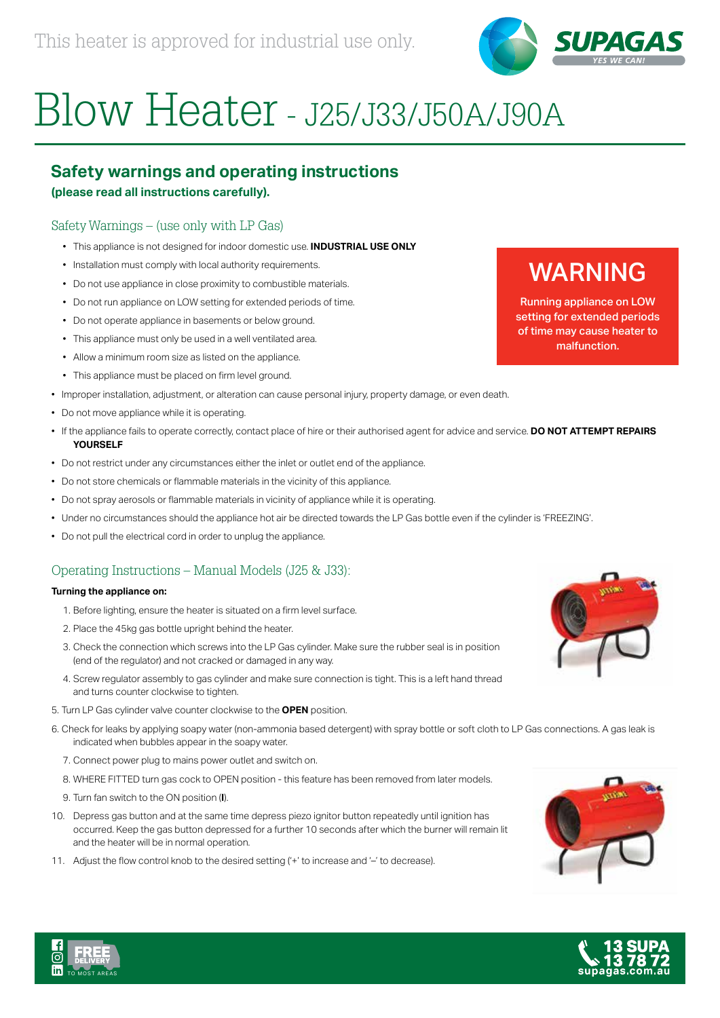

# Blow Heater - J25/J33/J50A/J90A

# **Safety warnings and operating instructions**

### **(please read all instructions carefully).**

# Safety Warnings – (use only with LP Gas)

- This appliance is not designed for indoor domestic use. **INDUSTRIAL USE ONLY**
- Installation must comply with local authority requirements.
- Do not use appliance in close proximity to combustible materials.
- Do not run appliance on LOW setting for extended periods of time.
- Do not operate appliance in basements or below ground.
- This appliance must only be used in a well ventilated area.
- Allow a minimum room size as listed on the appliance.
- This appliance must be placed on firm level ground.
- Improper installation, adjustment, or alteration can cause personal injury, property damage, or even death.
- Do not move appliance while it is operating.
- If the appliance fails to operate correctly, contact place of hire or their authorised agent for advice and service. **DO NOT ATTEMPT REPAIRS YOURSELF**
- Do not restrict under any circumstances either the inlet or outlet end of the appliance.
- Do not store chemicals or flammable materials in the vicinity of this appliance.
- Do not spray aerosols or flammable materials in vicinity of appliance while it is operating.
- Under no circumstances should the appliance hot air be directed towards the LP Gas bottle even if the cylinder is 'FREEZING'.
- Do not pull the electrical cord in order to unplug the appliance.

# Operating Instructions – Manual Models (J25 & J33):

#### **Turning the appliance on:**

- 1. Before lighting, ensure the heater is situated on a firm level surface.
- 2. Place the 45kg gas bottle upright behind the heater.
- 3. Check the connection which screws into the LP Gas cylinder. Make sure the rubber seal is in position (end of the regulator) and not cracked or damaged in any way.
- 4. Screw regulator assembly to gas cylinder and make sure connection is tight. This is a left hand thread and turns counter clockwise to tighten.
- 5. Turn LP Gas cylinder valve counter clockwise to the **OPEN** position.
- 6. Check for leaks by applying soapy water (non-ammonia based detergent) with spray bottle or soft cloth to LP Gas connections. A gas leak is indicated when bubbles appear in the soapy water.
	- 7. Connect power plug to mains power outlet and switch on.
	- 8. WHERE FITTED turn gas cock to OPEN position this feature has been removed from later models.
	- 9. Turn fan switch to the ON position (**I**).

TO MOST AREA S

- 10. Depress gas button and at the same time depress piezo ignitor button repeatedly until ignition has occurred. Keep the gas button depressed for a further 10 seconds after which the burner will remain lit and the heater will be in normal operation.
- 11. Adjust the flow control knob to the desired setting ('+' to increase and '-' to decrease).







# WARNING

Running appliance on LOW setting for extended periods of time may cause heater to malfunction.